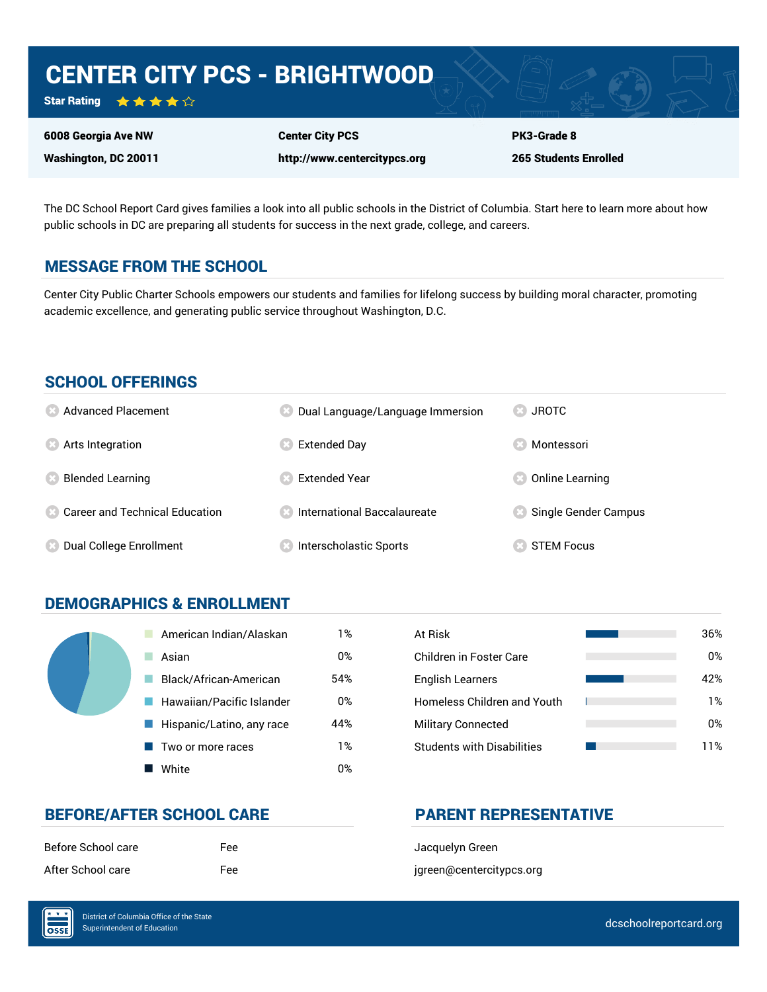# CENTER CITY PCS - BRIGHTWOOD

Star Rating ★★★★☆

6008 Georgia Ave NW Washington, DC 20011

Center City PCS http://www.centercitypcs.org PK3-Grade 8 265 Students Enrolled

The DC School Report Card gives families a look into all public schools in the District of Columbia. Start here to learn more about how public schools in DC are preparing all students for success in the next grade, college, and careers.

# MESSAGE FROM THE SCHOOL

Center City Public Charter Schools empowers our students and families for lifelong success by building moral character, promoting academic excellence, and generating public service throughout Washington, D.C.

#### SCHOOL OFFERINGS

| <b>8</b> Advanced Placement             | Dual Language/Language Immersion | <b>JROTC</b><br>$\left( 33 \right)$ |
|-----------------------------------------|----------------------------------|-------------------------------------|
| <b>8</b> Arts Integration               | <b>Extended Day</b>              | Montessori                          |
| <b>Blended Learning</b>                 | <b>Extended Year</b>             | Online Learning                     |
| <b>8 Career and Technical Education</b> | International Baccalaureate      | Single Gender Campus                |
| Dual College Enrollment                 | Interscholastic Sports           | <b>STEM Focus</b>                   |

# DEMOGRAPHICS & ENROLLMENT

| American Indian/Alaskan   | 1%  | At Risk                            |
|---------------------------|-----|------------------------------------|
| Asian                     | 0%  | Children in Foster Care            |
| Black/African-American    | 54% | <b>English Learners</b>            |
| Hawaiian/Pacific Islander | 0%  | <b>Homeless Children and Youth</b> |
| Hispanic/Latino, any race | 44% | <b>Military Connected</b>          |
| Two or more races         | 1%  | <b>Students with Disabilities</b>  |
| White                     | 0%  |                                    |

| At Risk                            | 36% |
|------------------------------------|-----|
| Children in Foster Care            | 0%  |
| <b>English Learners</b>            | 42% |
| <b>Homeless Children and Youth</b> | 1%  |
| <b>Military Connected</b>          | 0%  |
| <b>Students with Disabilities</b>  | 11% |

# BEFORE/AFTER SCHOOL CARE **PARENT REPRESENTATIVE**

| Before School care | Fee        |
|--------------------|------------|
| After School care  | <b>Fee</b> |

Jacquelyn Green jgreen@centercitypcs.org

 $\overline{\text{OSE}}$